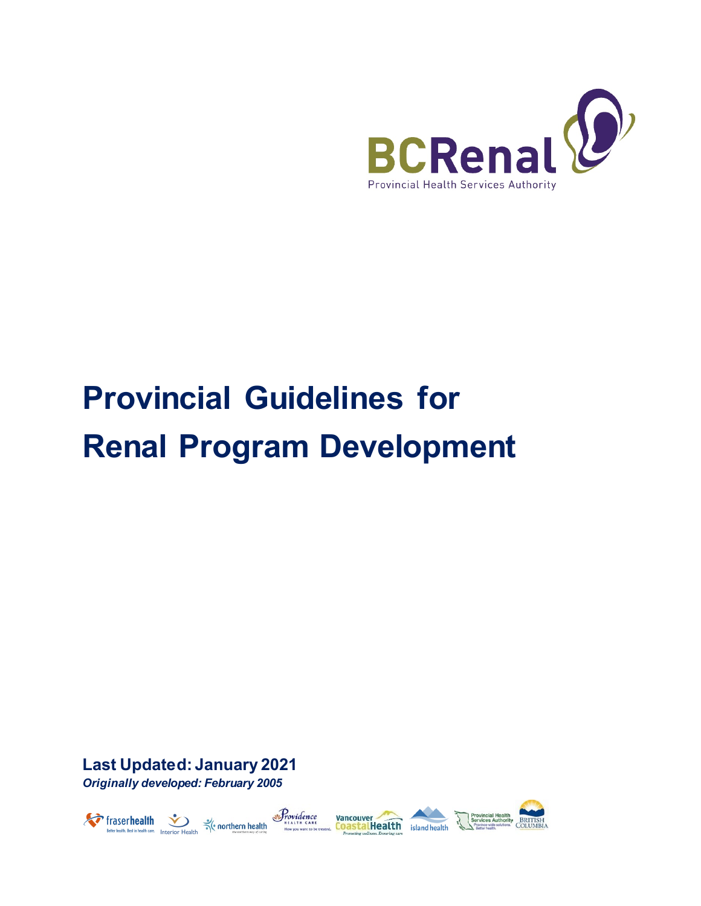

# **Provincial Guidelines for Renal Program Development**

**Last Updated: January 2021** *Originally developed: February 2005*



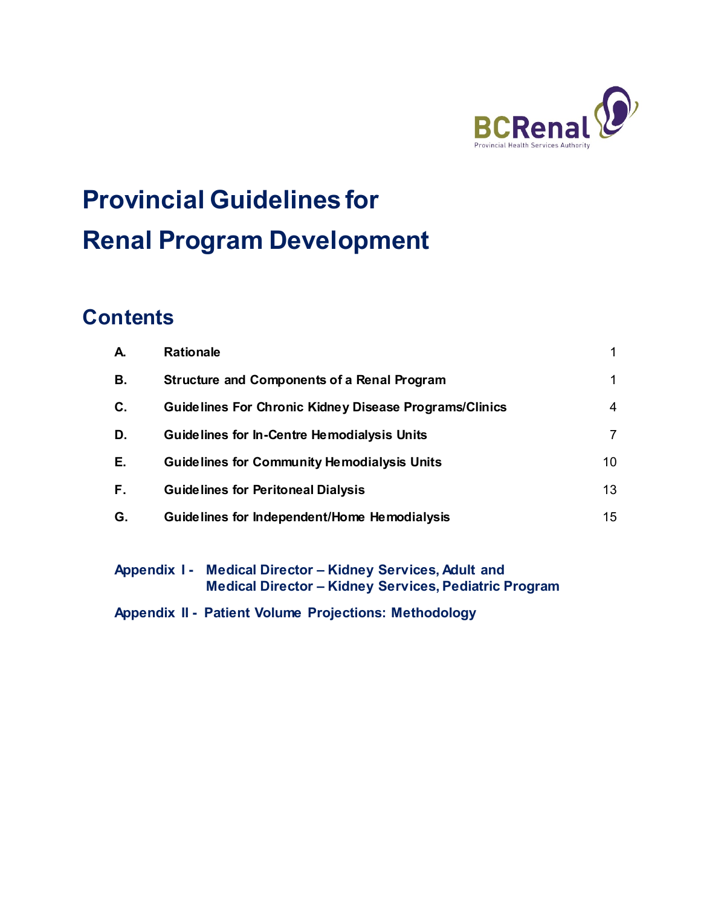

# **Provincial Guidelines for Renal Program Development**

### **Contents**

| А. | <b>Rationale</b>                                              |                 |
|----|---------------------------------------------------------------|-----------------|
| В. | <b>Structure and Components of a Renal Program</b>            | 1               |
| C. | <b>Guidelines For Chronic Kidney Disease Programs/Clinics</b> | 4               |
| D. | Guidelines for In-Centre Hemodialysis Units                   | 7               |
| Е. | <b>Guidelines for Community Hemodialysis Units</b>            | 10 <sup>°</sup> |
| F. | <b>Guidelines for Peritoneal Dialysis</b>                     | 13              |
| G. | Guidelines for Independent/Home Hemodialysis                  | 15              |
|    |                                                               |                 |

**Appendix I - Medical Director – Kidney Services, Adult and Medical Director – Kidney Services, Pediatric Program** 

**Appendix II - Patient Volume Projections: Methodology**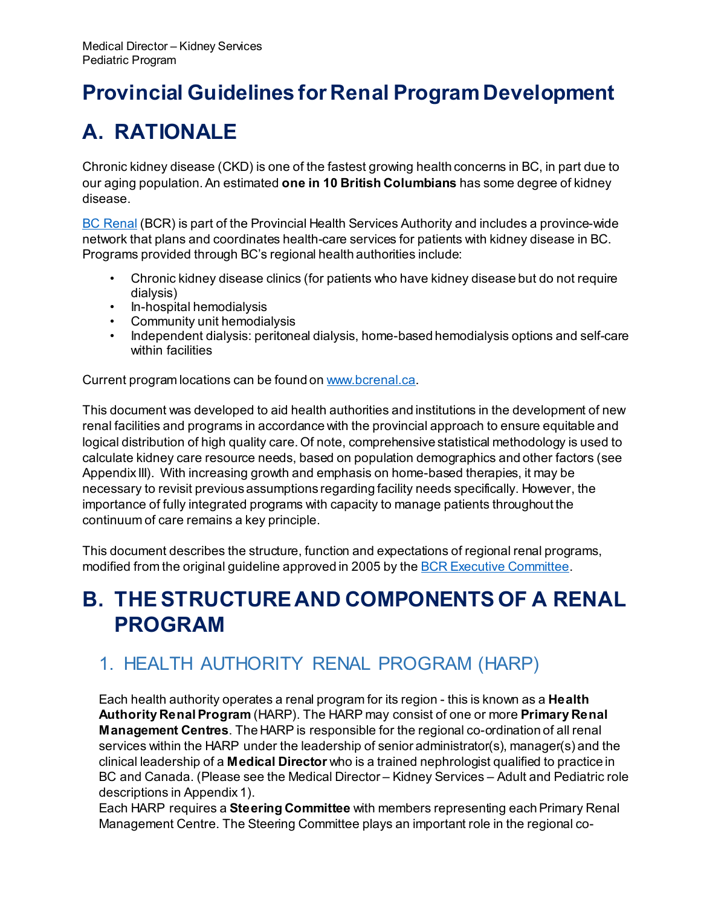# **Provincial Guidelines for Renal Program Development**

# <span id="page-2-0"></span>**A. RATIONALE**

Chronic kidney disease (CKD) is one of the fastest growing health concerns in BC, in part due to our aging population. An estimated **one in 10 British Columbians** has some degree of kidney disease.

[BC Renal](http://www.bcrenalagency.ca/) (BCR) is part of the Provincial Health Services Authority and includes a province-wide network that plans and coordinates health-care services for patients with kidney disease in BC. Programs provided through BC's regional health authorities include:

- Chronic kidney disease clinics (for patients who have kidney disease but do not require dialysis)
- In-hospital hemodialysis
- Community unit hemodialysis
- Independent dialysis: peritoneal dialysis, home-based hemodialysis options and self-care within facilities

Current program locations can be found o[n www.bcrenal.ca.](http://www.bcrenal.ca/)

This document was developed to aid health authorities and institutions in the development of new renal facilities and programs in accordance with the provincial approach to ensure equitable and logical distribution of high quality care. Of note, comprehensive statistical methodology is used to calculate kidney care resource needs, based on population demographics and other factors (see Appendix III). With increasing growth and emphasis on home-based therapies, it may be necessary to revisit previous assumptions regarding facility needs specifically. However, the importance of fully integrated programs with capacity to manage patients throughout the continuum of care remains a key principle.

This document describes the structure, function and expectations of regional renal programs, modified from the original guideline approved in 2005 by th[e BCR Executive Committee.](http://www.bcrenalagency.ca/about/who-we-are/our-committees)

# <span id="page-2-1"></span>**B. THE STRUCTURE AND COMPONENTS OF A RENAL PROGRAM**

### 1. HEALTH AUTHORITY RENAL PROGRAM (HARP)

Each health authority operates a renal program for its region - this is known as a **Health Authority Renal Program** (HARP). The HARP may consist of one or more **Primary Renal Management Centres**. The HARP is responsible for the regional co-ordination of all renal services within the HARP under the leadership of senior administrator(s), manager(s) and the clinical leadership of a **Medical Director** who is a trained nephrologist qualified to practice in BC and Canada. (Please see the Medical Director – Kidney Services – Adult and Pediatric role descriptions in Appendix 1).

Each HARP requires a **Steering Committee** with members representing each Primary Renal Management Centre. The Steering Committee plays an important role in the regional co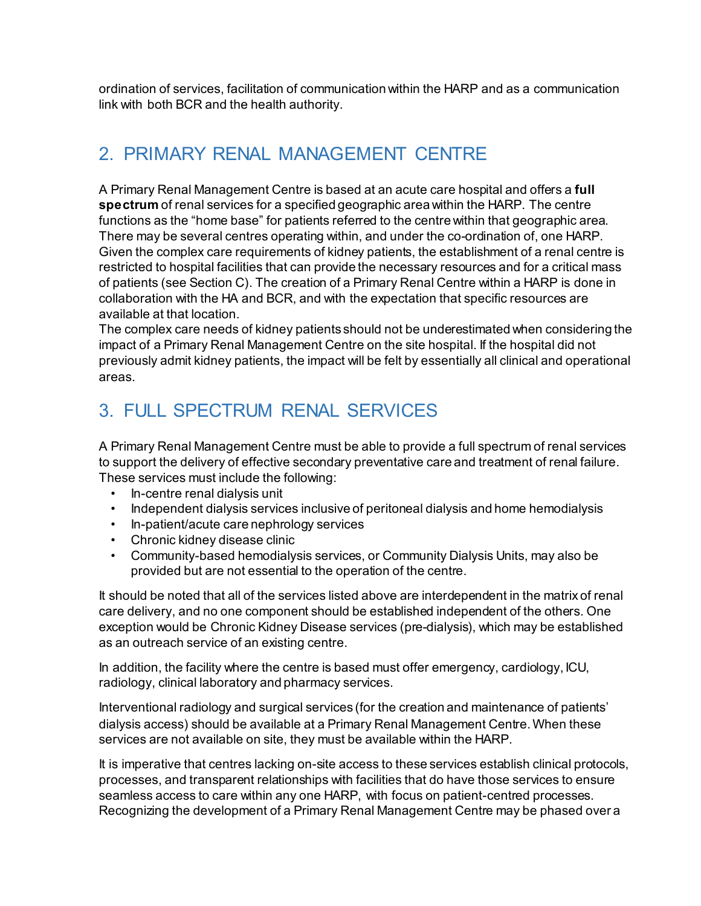ordination of services, facilitation of communication within the HARP and as a communication link with both BCR and the health authority.

### 2. PRIMARY RENAL MANAGEMENT CENTRE

A Primary Renal Management Centre is based at an acute care hospital and offers a **full spectrum** of renal services for a specified geographic area within the HARP. The centre functions as the "home base" for patients referred to the centre within that geographic area. There may be several centres operating within, and under the co-ordination of, one HARP. Given the complex care requirements of kidney patients, the establishment of a renal centre is restricted to hospital facilities that can provide the necessary resources and for a critical mass of patients (see Section C). The creation of a Primary Renal Centre within a HARP is done in collaboration with the HA and BCR, and with the expectation that specific resources are available at that location.

The complex care needs of kidney patients should not be underestimated when considering the impact of a Primary Renal Management Centre on the site hospital. If the hospital did not previously admit kidney patients, the impact will be felt by essentially all clinical and operational areas.

### 3. FULL SPECTRUM RENAL SERVICES

A Primary Renal Management Centre must be able to provide a full spectrum of renal services to support the delivery of effective secondary preventative care and treatment of renal failure. These services must include the following:

- In-centre renal dialysis unit
- Independent dialysis services inclusive of peritoneal dialysis and home hemodialysis
- In-patient/acute care nephrology services
- Chronic kidney disease clinic
- Community-based hemodialysis services, or Community Dialysis Units, may also be provided but are not essential to the operation of the centre.

It should be noted that all of the services listed above are interdependent in the matrix of renal care delivery, and no one component should be established independent of the others. One exception would be Chronic Kidney Disease services (pre-dialysis), which may be established as an outreach service of an existing centre.

In addition, the facility where the centre is based must offer emergency, cardiology, ICU, radiology, clinical laboratory and pharmacy services.

Interventional radiology and surgical services (for the creation and maintenance of patients' dialysis access) should be available at a Primary Renal Management Centre. When these services are not available on site, they must be available within the HARP.

It is imperative that centres lacking on-site access to these services establish clinical protocols, processes, and transparent relationships with facilities that do have those services to ensure seamless access to care within any one HARP, with focus on patient-centred processes. Recognizing the development of a Primary Renal Management Centre may be phased over a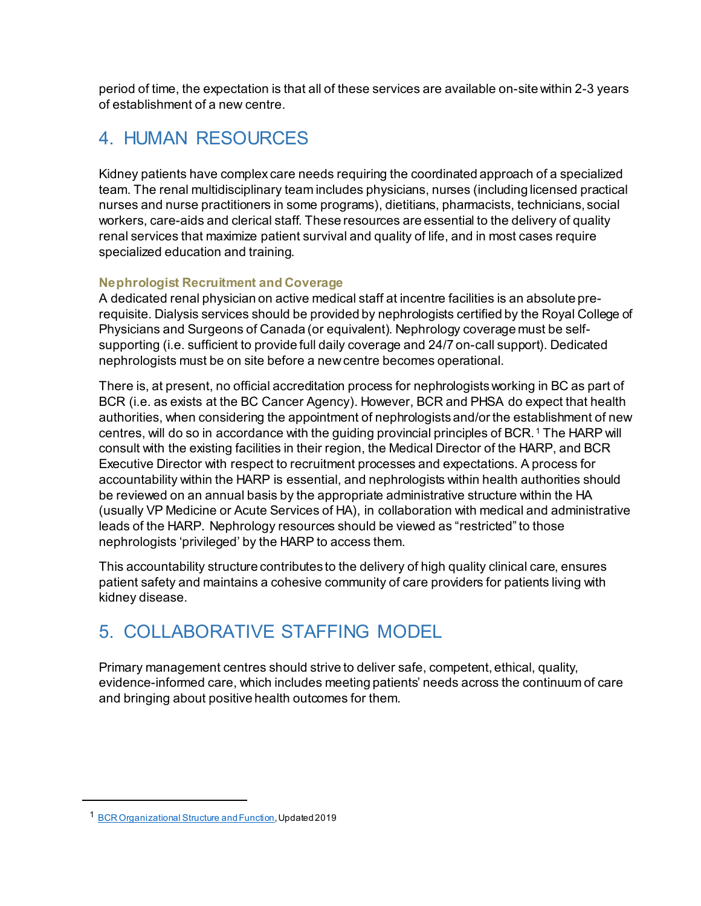period of time, the expectation is that all of these services are available on-site within 2-3 years of establishment of a new centre.

### 4. HUMAN RESOURCES

Kidney patients have complex care needs requiring the coordinated approach of a specialized team. The renal multidisciplinary team includes physicians, nurses (including licensed practical nurses and nurse practitioners in some programs), dietitians, pharmacists, technicians, social workers, care-aids and clerical staff. These resources are essential to the delivery of quality renal services that maximize patient survival and quality of life, and in most cases require specialized education and training.

#### **Nephrologist Recruitment and Coverage**

A dedicated renal physician on active medical staff at incentre facilities is an absolute prerequisite. Dialysis services should be provided by nephrologists certified by the Royal College of Physicians and Surgeons of Canada (or equivalent). Nephrology coverage must be selfsupporting (i.e. sufficient to provide full daily coverage and 24/7 on-call support). Dedicated nephrologists must be on site before a new centre becomes operational.

There is, at present, no official accreditation process for nephrologists working in BC as part of BCR (i.e. as exists at the BC Cancer Agency). However, BCR and PHSA do expect that health authorities, when considering the appointment of nephrologists and/or the establishment of new centres, will do so in accordance with the guiding provincial principles of BCR. [1](#page-4-0) The HARP will consult with the existing facilities in their region, the Medical Director of the HARP, and BCR Executive Director with respect to recruitment processes and expectations. A process for accountability within the HARP is essential, and nephrologists within health authorities should be reviewed on an annual basis by the appropriate administrative structure within the HA (usually VP Medicine or Acute Services of HA), in collaboration with medical and administrative leads of the HARP. Nephrology resources should be viewed as "restricted" to those nephrologists 'privileged' by the HARP to access them.

This accountability structure contributes to the delivery of high quality clinical care, ensures patient safety and maintains a cohesive community of care providers for patients living with kidney disease.

### 5. COLLABORATIVE STAFFING MODEL

Primary management centres should strive to deliver safe, competent, ethical, quality, evidence-informed care, which includes meeting patients' needs across the continuum of care and bringing about positive health outcomes for them.

<span id="page-4-0"></span> $\overline{a}$ 

<sup>1</sup> [BCR Organizational Structure](http://www.bcrenalagency.ca/resource-gallery/Documents/About-BCR_Org_Structure_and_Function.pdf) and Function, Updated 2019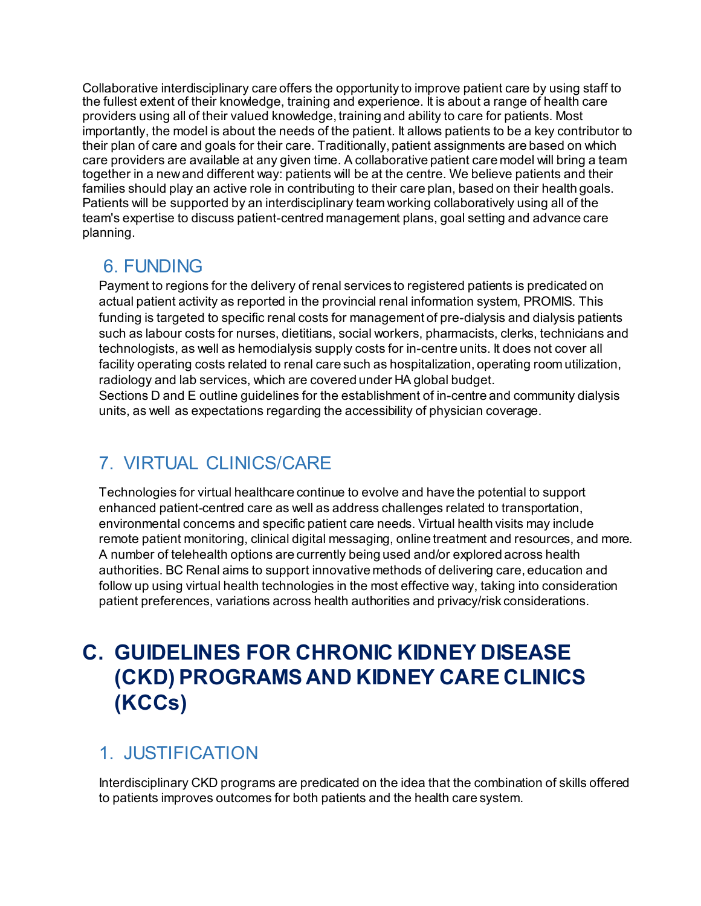Collaborative interdisciplinary care offers the opportunity to improve patient care by using staff to the fullest extent of their knowledge, training and experience. It is about a range of health care providers using all of their valued knowledge, training and ability to care for patients. Most importantly, the model is about the needs of the patient. It allows patients to be a key contributor to their plan of care and goals for their care. Traditionally, patient assignments are based on which care providers are available at any given time. A collaborative patient care model will bring a team together in a new and different way: patients will be at the centre. We believe patients and their families should play an active role in contributing to their care plan, based on their health goals. Patients will be supported by an interdisciplinary team working collaboratively using all of the team's expertise to discuss patient-centred management plans, goal setting and advance care planning.

### 6. FUNDING

Payment to regions for the delivery of renal services to registered patients is predicated on actual patient activity as reported in the provincial renal information system, PROMIS. This funding is targeted to specific renal costs for management of pre-dialysis and dialysis patients such as labour costs for nurses, dietitians, social workers, pharmacists, clerks, technicians and technologists, as well as hemodialysis supply costs for in-centre units. It does not cover all facility operating costs related to renal care such as hospitalization, operating room utilization, radiology and lab services, which are covered under HA global budget.

Sections D and E outline guidelines for the establishment of in-centre and community dialysis units, as well as expectations regarding the accessibility of physician coverage.

### 7. VIRTUAL CLINICS/CARE

Technologies for virtual healthcare continue to evolve and have the potential to support enhanced patient-centred care as well as address challenges related to transportation, environmental concerns and specific patient care needs. Virtual health visits may include remote patient monitoring, clinical digital messaging, online treatment and resources, and more. A number of telehealth options are currently being used and/or explored across health authorities. BC Renal aims to support innovative methods of delivering care, education and follow up using virtual health technologies in the most effective way, taking into consideration patient preferences, variations across health authorities and privacy/risk considerations.

# <span id="page-5-0"></span>**C. GUIDELINES FOR CHRONIC KIDNEY DISEASE (CKD) PROGRAMS AND KIDNEY CARE CLINICS (KCCs)**

### 1. JUSTIFICATION

Interdisciplinary CKD programs are predicated on the idea that the combination of skills offered to patients improves outcomes for both patients and the health care system.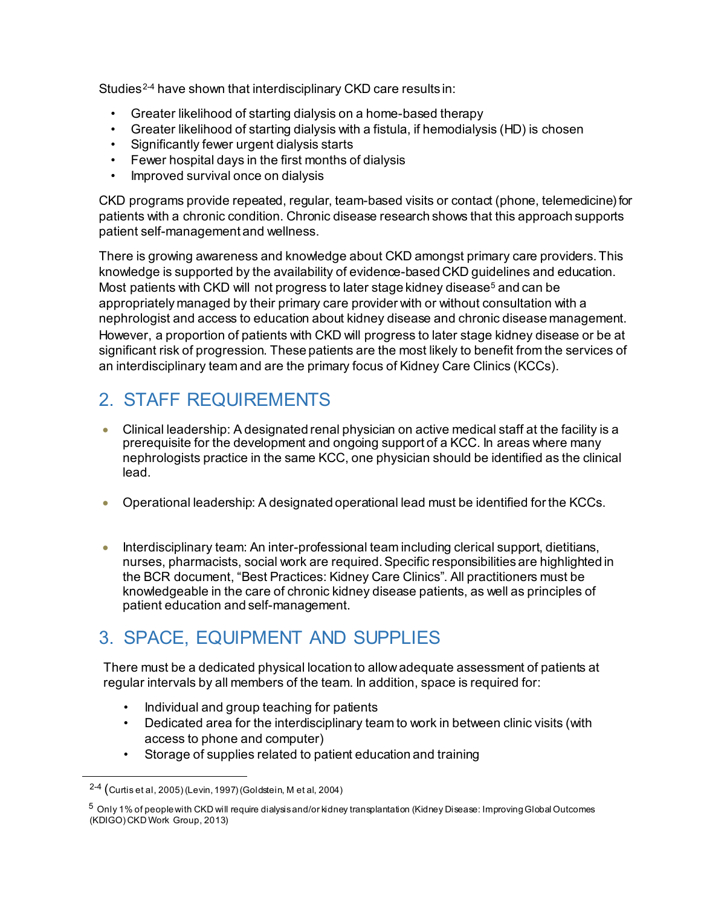Studies<sup>[2-4](#page-6-0)</sup> have shown that interdisciplinary CKD care results in:

- Greater likelihood of starting dialysis on a home-based therapy
- Greater likelihood of starting dialysis with a fistula, if hemodialysis (HD) is chosen
- Significantly fewer urgent dialysis starts
- Fewer hospital days in the first months of dialysis
- Improved survival once on dialysis

CKD programs provide repeated, regular, team-based visits or contact (phone, telemedicine) for patients with a chronic condition. Chronic disease research shows that this approach supports patient self-management and wellness.

There is growing awareness and knowledge about CKD amongst primary care providers. This knowledge is supported by the availability of evidence-based CKD guidelines and education. Most patients with CKD will not progress to later stage kidney disease<sup>[5](#page-6-1)</sup> and can be appropriately managed by their primary care provider with or without consultation with a nephrologist and access to education about kidney disease and chronic disease management. However, a proportion of patients with CKD will progress to later stage kidney disease or be at significant risk of progression. These patients are the most likely to benefit from the services of an interdisciplinary team and are the primary focus of Kidney Care Clinics (KCCs).

### 2. STAFF REQUIREMENTS

- Clinical leadership: A designated renal physician on active medical staff at the facility is a prerequisite for the development and ongoing support of a KCC. In areas where many nephrologists practice in the same KCC, one physician should be identified as the clinical lead.
- Operational leadership: A designated operational lead must be identified for the KCCs.
- Interdisciplinary team: An inter-professional team including clerical support, dietitians, nurses, pharmacists, social work are required. Specific responsibilities are highlighted in the BCR document, "Best Practices: Kidney Care Clinics". All practitioners must be knowledgeable in the care of chronic kidney disease patients, as well as principles of patient education and self-management.

### 3. SPACE, EQUIPMENT AND SUPPLIES

There must be a dedicated physical location to allow adequate assessment of patients at regular intervals by all members of the team. In addition, space is required for:

- Individual and group teaching for patients
- Dedicated area for the interdisciplinary team to work in between clinic visits (with access to phone and computer)
- Storage of supplies related to patient education and training

<span id="page-6-0"></span>l

<sup>2-4</sup> (Curtis et al, 2005) (Levin, 1997) (Goldstein, M et al, 2004)

<span id="page-6-1"></span> $^5$  Only 1% of people with CKD will require dialysisand/or kidney transplantation (Kidney Disease: Improving Global Outcomes (KDIGO) CKD Work Group, 2013)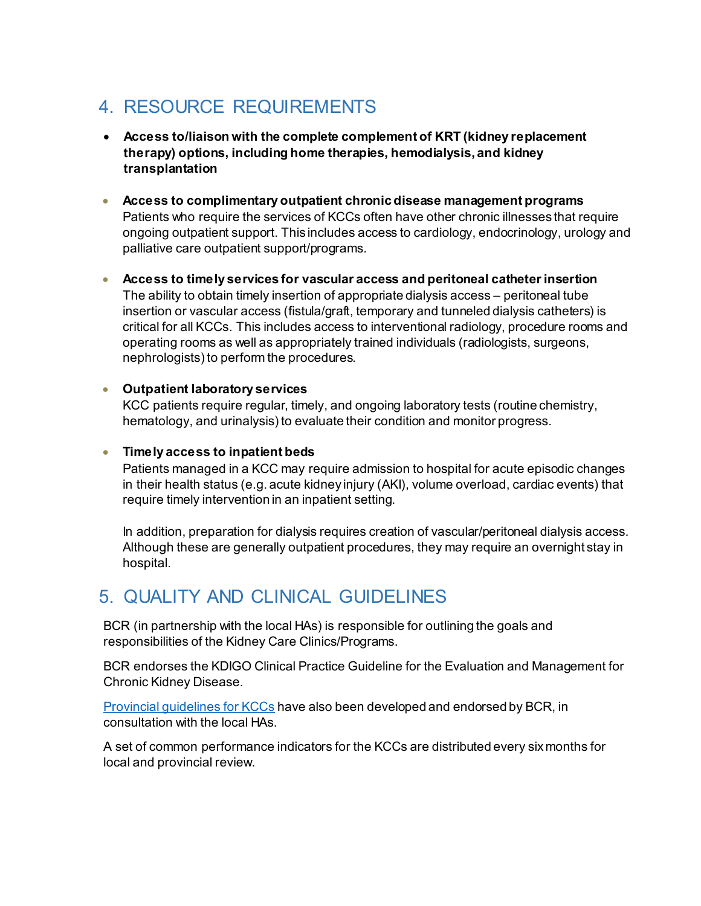### 4. RESOURCE REQUIREMENTS

- **Access to/liaison with the complete complement of KRT (kidney replacement therapy) options, including home therapies, hemodialysis, and kidney transplantation**
- **Access to complimentary outpatient chronic disease management programs**  Patients who require the services of KCCs often have other chronic illnesses that require ongoing outpatient support. This includes access to cardiology, endocrinology, urology and palliative care outpatient support/programs.
- **Access to timely services for vascular access and peritoneal catheter insertion** The ability to obtain timely insertion of appropriate dialysis access – peritoneal tube insertion or vascular access (fistula/graft, temporary and tunneled dialysis catheters) is critical for all KCCs. This includes access to interventional radiology, procedure rooms and operating rooms as well as appropriately trained individuals (radiologists, surgeons, nephrologists) to perform the procedures.

#### • **Outpatient laboratory services**

KCC patients require regular, timely, and ongoing laboratory tests (routine chemistry, hematology, and urinalysis) to evaluate their condition and monitor progress.

#### • **Timely access to inpatient beds**

Patients managed in a KCC may require admission to hospital for acute episodic changes in their health status (e.g. acute kidney injury (AKI), volume overload, cardiac events) that require timely intervention in an inpatient setting.

In addition, preparation for dialysis requires creation of vascular/peritoneal dialysis access. Although these are generally outpatient procedures, they may require an overnight stay in hospital.

### 5. QUALITY AND CLINICAL GUIDELINES

BCR (in partnership with the local HAs) is responsible for outlining the goals and responsibilities of the Kidney Care Clinics/Programs.

BCR endorses the KDIGO Clinical Practice Guideline for the Evaluation and Management for Chronic Kidney Disease.

[Provincial guidelines for KCCs](http://www.bcrenalagency.ca/health-professionals/clinical-resources/chronic-kidney-disease-(ckd)) have also been developed and endorsed by BCR, in consultation with the local HAs.

A set of common performance indicators for the KCCs are distributed every six months for local and provincial review.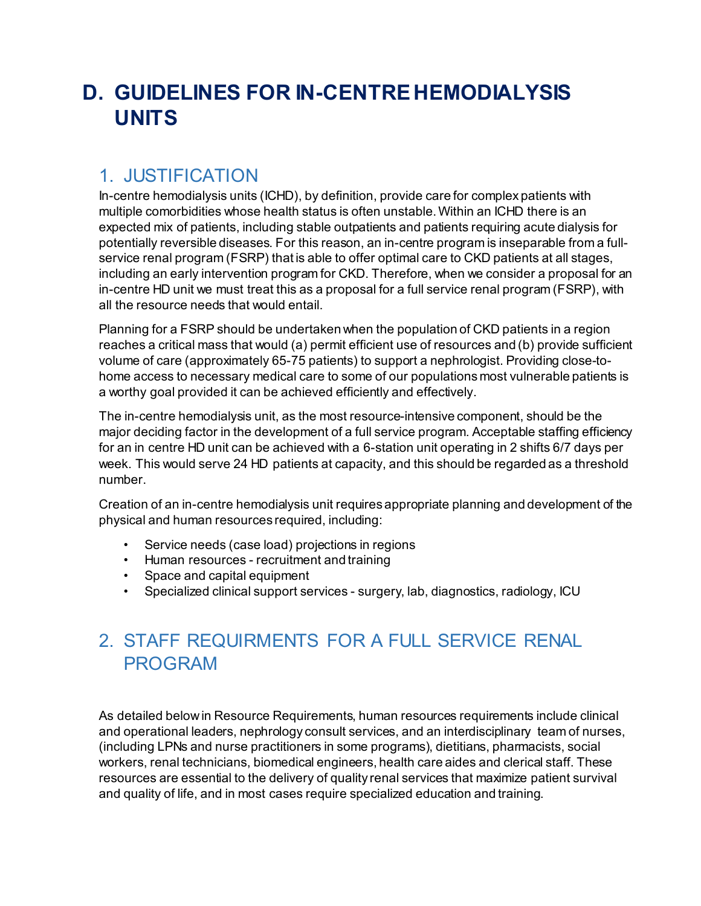# <span id="page-8-0"></span>**D. GUIDELINES FOR IN-CENTRE HEMODIALYSIS UNITS**

### 1. JUSTIFICATION

In-centre hemodialysis units (ICHD), by definition, provide care for complex patients with multiple comorbidities whose health status is often unstable. Within an ICHD there is an expected mix of patients, including stable outpatients and patients requiring acute dialysis for potentially reversible diseases. For this reason, an in-centre program is inseparable from a fullservice renal program (FSRP) that is able to offer optimal care to CKD patients at all stages, including an early intervention program for CKD. Therefore, when we consider a proposal for an in-centre HD unit we must treat this as a proposal for a full service renal program (FSRP), with all the resource needs that would entail.

Planning for a FSRP should be undertaken when the population of CKD patients in a region reaches a critical mass that would (a) permit efficient use of resources and (b) provide sufficient volume of care (approximately 65-75 patients) to support a nephrologist. Providing close-tohome access to necessary medical care to some of our populations most vulnerable patients is a worthy goal provided it can be achieved efficiently and effectively.

The in-centre hemodialysis unit, as the most resource-intensive component, should be the major deciding factor in the development of a full service program. Acceptable staffing efficiency for an in centre HD unit can be achieved with a 6-station unit operating in 2 shifts 6/7 days per week. This would serve 24 HD patients at capacity, and this should be regarded as a threshold number.

Creation of an in-centre hemodialysis unit requires appropriate planning and development of the physical and human resources required, including:

- Service needs (case load) projections in regions
- Human resources recruitment and training
- Space and capital equipment
- Specialized clinical support services surgery, lab, diagnostics, radiology, ICU

### 2. STAFF REQUIRMENTS FOR A FULL SERVICE RENAL PROGRAM

As detailed below in Resource Requirements, human resources requirements include clinical and operational leaders, nephrology consult services, and an interdisciplinary team of nurses, (including LPNs and nurse practitioners in some programs), dietitians, pharmacists, social workers, renal technicians, biomedical engineers, health care aides and clerical staff. These resources are essential to the delivery of quality renal services that maximize patient survival and quality of life, and in most cases require specialized education and training.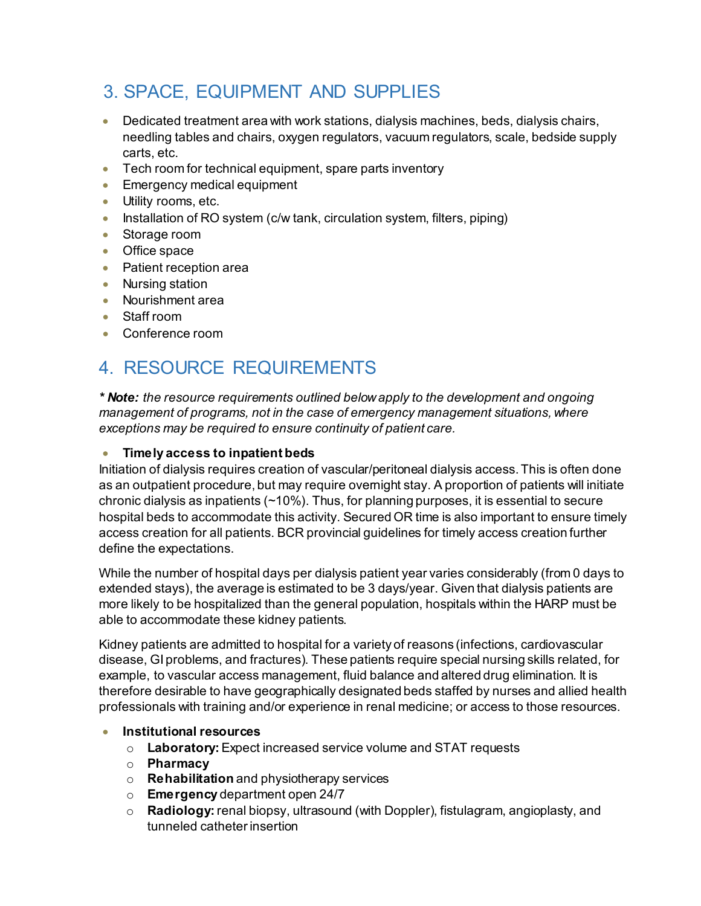### 3. SPACE, EQUIPMENT AND SUPPLIES

- Dedicated treatment area with work stations, dialysis machines, beds, dialysis chairs, needling tables and chairs, oxygen regulators, vacuum regulators, scale, bedside supply carts, etc.
- Tech room for technical equipment, spare parts inventory
- Emergency medical equipment
- Utility rooms, etc.
- Installation of RO system (c/w tank, circulation system, filters, piping)
- Storage room
- Office space
- Patient reception area
- Nursing station
- Nourishment area
- Staff room
- Conference room

### 4. RESOURCE REQUIREMENTS

*\* Note: the resource requirements outlined below apply to the development and ongoing management of programs, not in the case of emergency management situations, where exceptions may be required to ensure continuity of patient care.*

#### • **Timely access to inpatient beds**

Initiation of dialysis requires creation of vascular/peritoneal dialysis access. This is often done as an outpatient procedure, but may require overnight stay. A proportion of patients will initiate chronic dialysis as inpatients (~10%). Thus, for planning purposes, it is essential to secure hospital beds to accommodate this activity. Secured OR time is also important to ensure timely access creation for all patients. BCR provincial guidelines for timely access creation further define the expectations.

While the number of hospital days per dialysis patient year varies considerably (from 0 days to extended stays), the average is estimated to be 3 days/year. Given that dialysis patients are more likely to be hospitalized than the general population, hospitals within the HARP must be able to accommodate these kidney patients.

Kidney patients are admitted to hospital for a variety of reasons (infections, cardiovascular disease, GI problems, and fractures). These patients require special nursing skills related, for example, to vascular access management, fluid balance and altered drug elimination. It is therefore desirable to have geographically designated beds staffed by nurses and allied health professionals with training and/or experience in renal medicine; or access to those resources.

- **Institutional resources**
	- o **Laboratory:**Expect increased service volume and STAT requests
	- o **Pharmacy**
	- o **Rehabilitation** and physiotherapy services
	- o **Emergency** department open 24/7
	- o **Radiology:**renal biopsy, ultrasound (with Doppler), fistulagram, angioplasty, and tunneled catheter insertion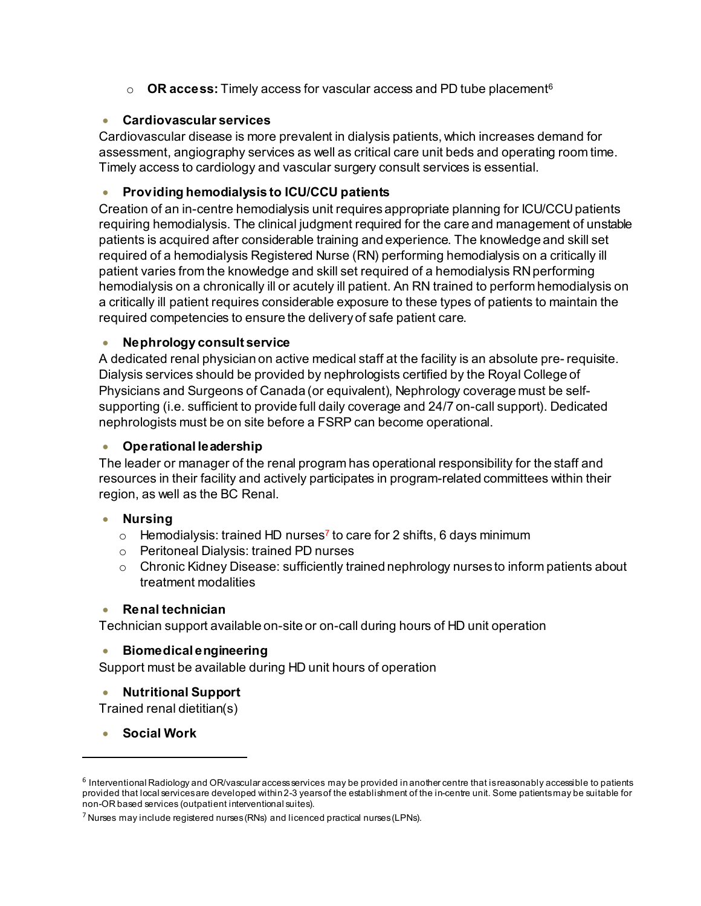o **OR access:** Timely access for vascular access and PD tube placement[6](#page-10-0)

#### • **Cardiovascular services**

Cardiovascular disease is more prevalent in dialysis patients, which increases demand for assessment, angiography services as well as critical care unit beds and operating room time. Timely access to cardiology and vascular surgery consult services is essential.

#### • **Providing hemodialysis to ICU/CCU patients**

Creation of an in-centre hemodialysis unit requires appropriate planning for ICU/CCU patients requiring hemodialysis. The clinical judgment required for the care and management of unstable patients is acquired after considerable training and experience. The knowledge and skill set required of a hemodialysis Registered Nurse (RN) performing hemodialysis on a critically ill patient varies from the knowledge and skill set required of a hemodialysis RN performing hemodialysis on a chronically ill or acutely ill patient. An RN trained to perform hemodialysis on a critically ill patient requires considerable exposure to these types of patients to maintain the required competencies to ensure the delivery of safe patient care.

#### • **Nephrology consult service**

A dedicated renal physician on active medical staff at the facility is an absolute pre- requisite. Dialysis services should be provided by nephrologists certified by the Royal College of Physicians and Surgeons of Canada (or equivalent), Nephrology coverage must be selfsupporting (i.e. sufficient to provide full daily coverage and 24/7 on-call support). Dedicated nephrologists must be on site before a FSRP can become operational.

#### • **Operational leadership**

The leader or manager of the renal program has operational responsibility for the staff and resources in their facility and actively participates in program-related committees within their region, as well as the BC Renal.

#### • **Nursing**

- $\circ$  Hemodialysis: trained HD nurses<sup>7</sup> to care for 2 shifts, 6 days minimum
- o Peritoneal Dialysis: trained PD nurses
- $\circ$  Chronic Kidney Disease: sufficiently trained nephrology nurses to inform patients about treatment modalities

#### • **Renal technician**

Technician support available on-site or on-call during hours of HD unit operation

#### • **Biomedical engineering**

Support must be available during HD unit hours of operation

#### • **Nutritional Support**

Trained renal dietitian(s)

• **Social Work**

l

<span id="page-10-0"></span> $6$  Interventional Radiology and OR/vascular access services may be provided in another centre that is reasonably accessible to patients provided that local services are developed within 2-3 years of the establishment of the in-centre unit. Some patients may be suitable for non-OR based services (outpatient interventional suites).

 $7$  Nurses may include registered nurses (RNs) and licenced practical nurses (LPNs).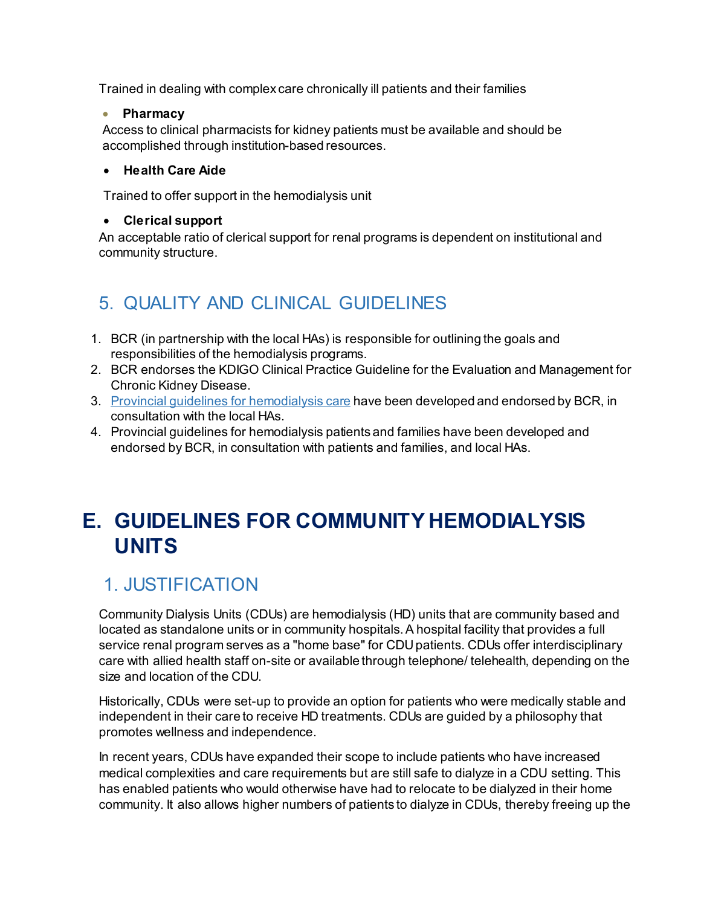Trained in dealing with complex care chronically ill patients and their families

#### • **Pharmacy**

Access to clinical pharmacists for kidney patients must be available and should be accomplished through institution-based resources.

#### • **Health Care Aide**

Trained to offer support in the hemodialysis unit

#### • **Clerical support**

An acceptable ratio of clerical support for renal programs is dependent on institutional and community structure.

### 5. QUALITY AND CLINICAL GUIDELINES

- 1. BCR (in partnership with the local HAs) is responsible for outlining the goals and responsibilities of the hemodialysis programs.
- 2. BCR endorses the KDIGO Clinical Practice Guideline for the Evaluation and Management for Chronic Kidney Disease.
- 3. [Provincial guidelines for hemodialysis care](http://www.bcrenal.ca/health-professionals/clinical-resources/hemodialysis) have been developed and endorsed by BCR, in consultation with the local HAs.
- 4. Provincial guidelines for hemodialysis patients and families have been developed and endorsed by BCR, in consultation with patients and families, and local HAs.

### <span id="page-11-0"></span>**E. GUIDELINES FOR COMMUNITY HEMODIALYSIS UNITS**

### 1. JUSTIFICATION

Community Dialysis Units (CDUs) are hemodialysis (HD) units that are community based and located as standalone units or in community hospitals. A hospital facility that provides a full service renal program serves as a "home base" for CDU patients. CDUs offer interdisciplinary care with allied health staff on-site or available through telephone/ telehealth, depending on the size and location of the CDU.

Historically, CDUs were set-up to provide an option for patients who were medically stable and independent in their care to receive HD treatments. CDUs are guided by a philosophy that promotes wellness and independence.

In recent years, CDUs have expanded their scope to include patients who have increased medical complexities and care requirements but are still safe to dialyze in a CDU setting. This has enabled patients who would otherwise have had to relocate to be dialyzed in their home community. It also allows higher numbers of patients to dialyze in CDUs, thereby freeing up the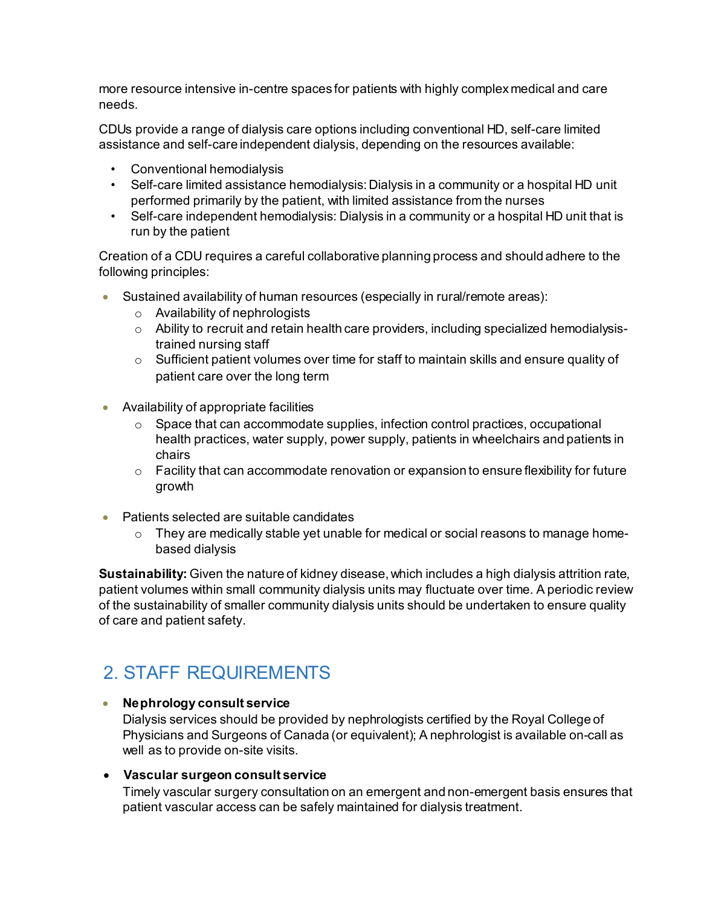more resource intensive in-centre spaces for patients with highly complex medical and care needs.

CDUs provide a range of dialysis care options including conventional HD, self-care limited assistance and self-care independent dialysis, depending on the resources available:

- Conventional hemodialysis
- Self-care limited assistance hemodialysis: Dialysis in a community or a hospital HD unit performed primarily by the patient, with limited assistance from the nurses
- Self-care independent hemodialysis: Dialysis in a community or a hospital HD unit that is run by the patient

Creation of a CDU requires a careful collaborative planning process and should adhere to the following principles:

- Sustained availability of human resources (especially in rural/remote areas):
	- o Availability of nephrologists
	- o Ability to recruit and retain health care providers, including specialized hemodialysistrained nursing staff
	- $\circ$  Sufficient patient volumes over time for staff to maintain skills and ensure quality of patient care over the long term
- Availability of appropriate facilities
	- $\circ$  Space that can accommodate supplies, infection control practices, occupational health practices, water supply, power supply, patients in wheelchairs and patients in chairs
	- $\circ$  Facility that can accommodate renovation or expansion to ensure flexibility for future growth
- Patients selected are suitable candidates
	- $\circ$  They are medically stable yet unable for medical or social reasons to manage homebased dialysis

**Sustainability:** Given the nature of kidney disease, which includes a high dialysis attrition rate, patient volumes within small community dialysis units may fluctuate over time. A periodic review of the sustainability of smaller community dialysis units should be undertaken to ensure quality of care and patient safety.

### 2. STAFF REQUIREMENTS

#### • **Nephrology consult service**

Dialysis services should be provided by nephrologists certified by the Royal College of Physicians and Surgeons of Canada (or equivalent); A nephrologist is available on-call as well as to provide on-site visits.

#### • **Vascular surgeon consult service**

Timely vascular surgery consultation on an emergent and non-emergent basis ensures that patient vascular access can be safely maintained for dialysis treatment.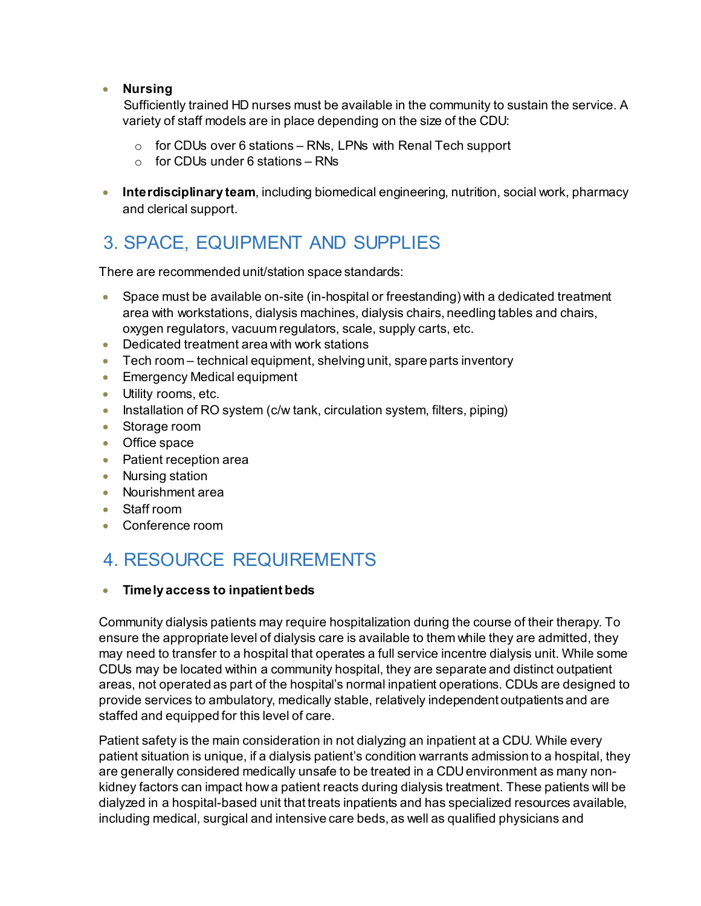#### • **Nursing**

Sufficiently trained HD nurses must be available in the community to sustain the service. A variety of staff models are in place depending on the size of the CDU:

- $\circ$  for CDUs over 6 stations RNs, LPNs with Renal Tech support
- $\circ$  for CDUs under 6 stations RNs
- **Interdisciplinary team**, including biomedical engineering, nutrition, social work, pharmacy and clerical support.

### 3. SPACE, EQUIPMENT AND SUPPLIES

There are recommended unit/station space standards:

- Space must be available on-site (in-hospital or freestanding) with a dedicated treatment area with workstations, dialysis machines, dialysis chairs, needling tables and chairs, oxygen regulators, vacuum regulators, scale, supply carts, etc.
- Dedicated treatment area with work stations
- Tech room technical equipment, shelving unit, spare parts inventory
- Emergency Medical equipment
- Utility rooms, etc.
- Installation of RO system (c/w tank, circulation system, filters, piping)
- Storage room
- Office space
- Patient reception area
- Nursing station
- Nourishment area
- Staff room
- Conference room

### 4. RESOURCE REQUIREMENTS

#### • **Timely access to inpatient beds**

Community dialysis patients may require hospitalization during the course of their therapy. To ensure the appropriate level of dialysis care is available to them while they are admitted, they may need to transfer to a hospital that operates a full service incentre dialysis unit. While some CDUs may be located within a community hospital, they are separate and distinct outpatient areas, not operated as part of the hospital's normal inpatient operations. CDUs are designed to provide services to ambulatory, medically stable, relatively independent outpatients and are staffed and equipped for this level of care.

Patient safety is the main consideration in not dialyzing an inpatient at a CDU. While every patient situation is unique, if a dialysis patient's condition warrants admission to a hospital, they are generally considered medically unsafe to be treated in a CDU environment as many nonkidney factors can impact how a patient reacts during dialysis treatment. These patients will be dialyzed in a hospital-based unit that treats inpatients and has specialized resources available, including medical, surgical and intensive care beds, as well as qualified physicians and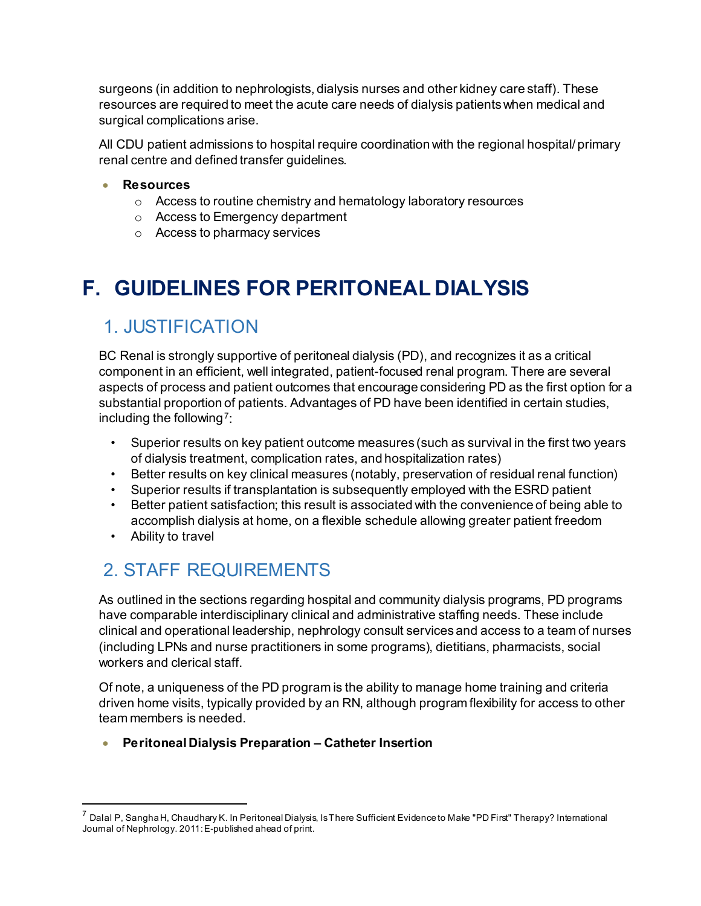surgeons (in addition to nephrologists, dialysis nurses and other kidney care staff). These resources are required to meet the acute care needs of dialysis patients when medical and surgical complications arise.

All CDU patient admissions to hospital require coordination with the regional hospital/ primary renal centre and defined transfer guidelines.

#### • **Resources**

- o Access to routine chemistry and hematology laboratory resources
- o Access to Emergency department
- o Access to pharmacy services

# <span id="page-14-0"></span>**F. GUIDELINES FOR PERITONEAL DIALYSIS**

### 1. JUSTIFICATION

BC Renal is strongly supportive of peritoneal dialysis (PD), and recognizes it as a critical component in an efficient, well integrated, patient-focused renal program. There are several aspects of process and patient outcomes that encourage considering PD as the first option for a substantial proportion of patients. Advantages of PD have been identified in certain studies, including the following  $7$ :

- Superior results on key patient outcome measures (such as survival in the first two years of dialysis treatment, complication rates, and hospitalization rates)
- Better results on key clinical measures (notably, preservation of residual renal function)
- Superior results if transplantation is subsequently employed with the ESRD patient
- Better patient satisfaction; this result is associated with the convenience of being able to accomplish dialysis at home, on a flexible schedule allowing greater patient freedom
- Ability to travel

l

### 2. STAFF REQUIREMENTS

As outlined in the sections regarding hospital and community dialysis programs, PD programs have comparable interdisciplinary clinical and administrative staffing needs. These include clinical and operational leadership, nephrology consult services and access to a team of nurses (including LPNs and nurse practitioners in some programs), dietitians, pharmacists, social workers and clerical staff.

Of note, a uniqueness of the PD program is the ability to manage home training and criteria driven home visits, typically provided by an RN, although program flexibility for access to other team members is needed.

• **Peritoneal Dialysis Preparation – Catheter Insertion**

<span id="page-14-1"></span> $^7$  Dalal P, Sangha H, Chaudhary K. In Peritoneal Dialysis, Is There Sufficient Evidence to Make "PD First" Therapy? International Journal of Nephrology. 2011: E-published ahead of print.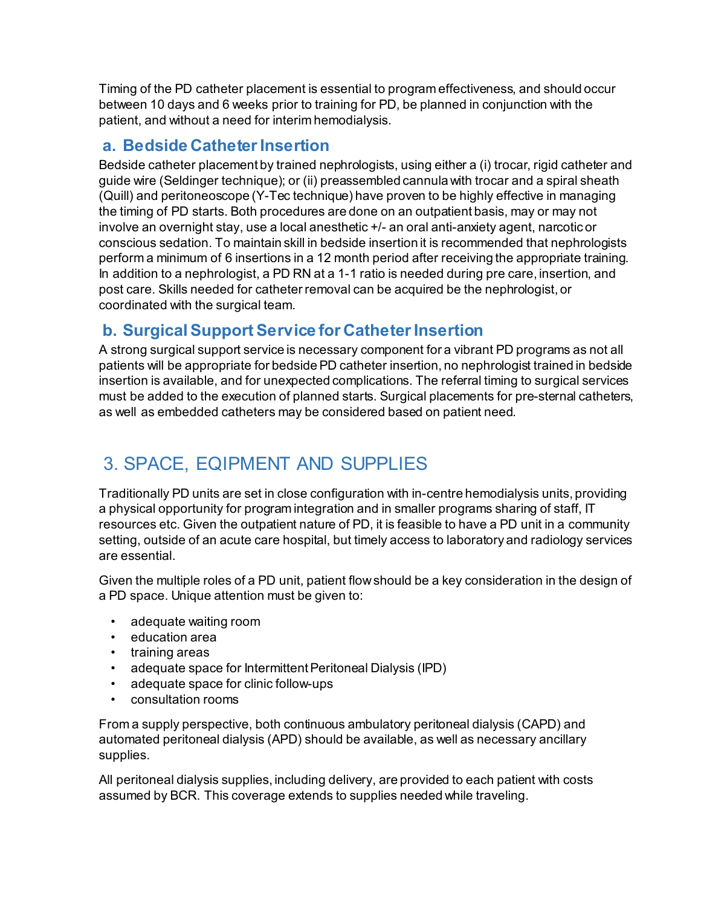Timing of the PD catheter placement is essential to program effectiveness, and should occur between 10 days and 6 weeks prior to training for PD, be planned in conjunction with the patient, and without a need for interim hemodialysis.

### **a. Bedside Catheter Insertion**

Bedside catheter placement by trained nephrologists, using either a (i) trocar, rigid catheter and guide wire (Seldinger technique); or (ii) preassembled cannula with trocar and a spiral sheath (Quill) and peritoneoscope (Y-Tec technique) have proven to be highly effective in managing the timing of PD starts. Both procedures are done on an outpatient basis, may or may not involve an overnight stay, use a local anesthetic +/- an oral anti-anxiety agent, narcotic or conscious sedation. To maintain skill in bedside insertion it is recommended that nephrologists perform a minimum of 6 insertions in a 12 month period after receiving the appropriate training. In addition to a nephrologist, a PD RN at a 1-1 ratio is needed during pre care, insertion, and post care. Skills needed for catheter removal can be acquired be the nephrologist, or coordinated with the surgical team.

### **b. Surgical Support Service for Catheter Insertion**

A strong surgical support service is necessary component for a vibrant PD programs as not all patients will be appropriate for bedside PD catheter insertion, no nephrologist trained in bedside insertion is available, and for unexpected complications. The referral timing to surgical services must be added to the execution of planned starts. Surgical placements for pre-sternal catheters, as well as embedded catheters may be considered based on patient need.

### 3. SPACE, EQIPMENT AND SUPPLIES

Traditionally PD units are set in close configuration with in-centre hemodialysis units, providing a physical opportunity for program integration and in smaller programs sharing of staff, IT resources etc. Given the outpatient nature of PD, it is feasible to have a PD unit in a community setting, outside of an acute care hospital, but timely access to laboratory and radiology services are essential.

Given the multiple roles of a PD unit, patient flow should be a key consideration in the design of a PD space. Unique attention must be given to:

- adequate waiting room
- education area
- training areas
- adequate space for Intermittent Peritoneal Dialysis (IPD)
- adequate space for clinic follow-ups
- consultation rooms

From a supply perspective, both continuous ambulatory peritoneal dialysis (CAPD) and automated peritoneal dialysis (APD) should be available, as well as necessary ancillary supplies.

All peritoneal dialysis supplies, including delivery, are provided to each patient with costs assumed by BCR. This coverage extends to supplies needed while traveling.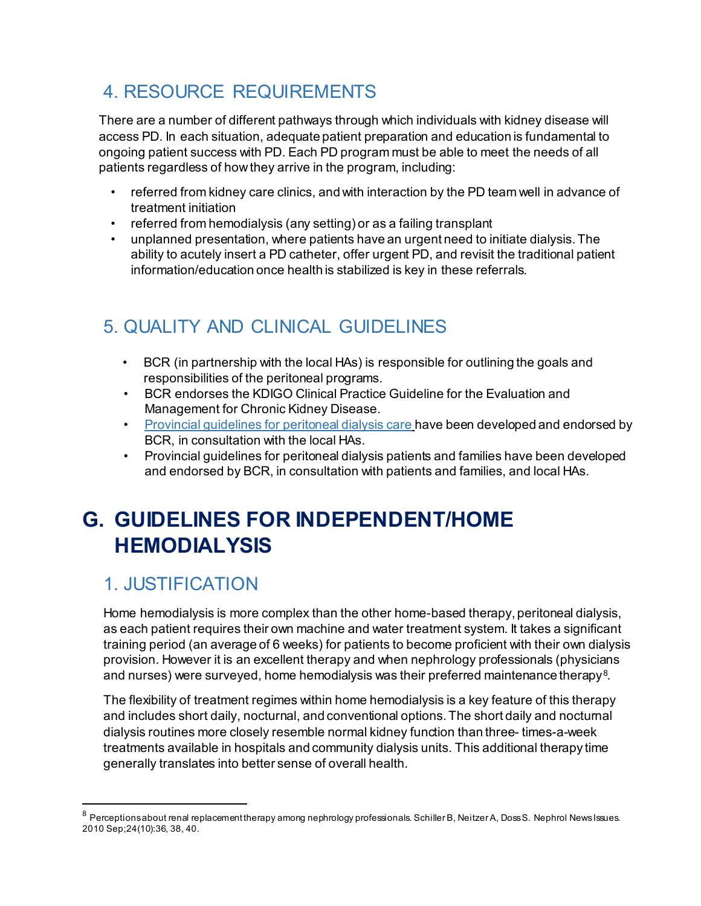### 4. RESOURCE REQUIREMENTS

There are a number of different pathways through which individuals with kidney disease will access PD. In each situation, adequate patient preparation and education is fundamental to ongoing patient success with PD. Each PD program must be able to meet the needs of all patients regardless of how they arrive in the program, including:

- referred from kidney care clinics, and with interaction by the PD team well in advance of treatment initiation
- referred from hemodialysis (any setting) or as a failing transplant
- unplanned presentation, where patients have an urgent need to initiate dialysis. The ability to acutely insert a PD catheter, offer urgent PD, and revisit the traditional patient information/education once health is stabilized is key in these referrals.

### 5. QUALITY AND CLINICAL GUIDELINES

- BCR (in partnership with the local HAs) is responsible for outlining the goals and responsibilities of the peritoneal programs.
- BCR endorses the KDIGO Clinical Practice Guideline for the Evaluation and Management for Chronic Kidney Disease.
- [Provincial guidelines for](http://www.bcrenal.ca/health-professionals/clinical-resources/peritoneal-dialysis) peritoneal dialysis care have been developed and endorsed by BCR, in consultation with the local HAs.
- Provincial guidelines for peritoneal dialysis patients and families have been developed and endorsed by BCR, in consultation with patients and families, and local HAs.

# <span id="page-16-0"></span>**G. GUIDELINES FOR INDEPENDENT/HOME HEMODIALYSIS**

### 1. JUSTIFICATION

l

Home hemodialysis is more complex than the other home-based therapy, peritoneal dialysis, as each patient requires their own machine and water treatment system. It takes a significant training period (an average of 6 weeks) for patients to become proficient with their own dialysis provision. However it is an excellent therapy and when nephrology professionals (physicians and nurses) were surveyed, home hemodialysis was their preferred maintenance therapy $^{\rm 8}$  $^{\rm 8}$  $^{\rm 8}$ .

The flexibility of treatment regimes within home hemodialysis is a key feature of this therapy and includes short daily, nocturnal, and conventional options. The short daily and nocturnal dialysis routines more closely resemble normal kidney function than three- times-a-week treatments available in hospitals and community dialysis units. This additional therapy time generally translates into better sense of overall health.

<span id="page-16-1"></span><sup>8</sup> Perceptions about renal replacement therapy among nephrology professionals. Schiller B, Neitzer A, Doss S. Nephrol News Issues. 2010 Sep;24(10):36, 38, 40.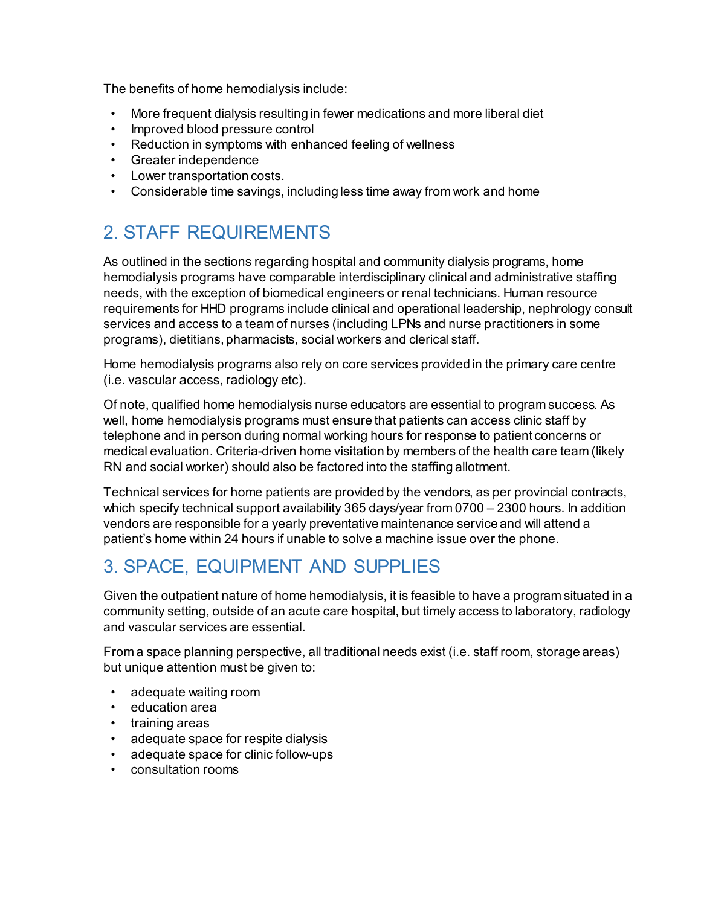The benefits of home hemodialysis include:

- More frequent dialysis resulting in fewer medications and more liberal diet
- Improved blood pressure control
- Reduction in symptoms with enhanced feeling of wellness
- Greater independence
- Lower transportation costs.
- Considerable time savings, including less time away from work and home

### 2. STAFF REQUIREMENTS

As outlined in the sections regarding hospital and community dialysis programs, home hemodialysis programs have comparable interdisciplinary clinical and administrative staffing needs, with the exception of biomedical engineers or renal technicians. Human resource requirements for HHD programs include clinical and operational leadership, nephrology consult services and access to a team of nurses (including LPNs and nurse practitioners in some programs), dietitians, pharmacists, social workers and clerical staff.

Home hemodialysis programs also rely on core services provided in the primary care centre (i.e. vascular access, radiology etc).

Of note, qualified home hemodialysis nurse educators are essential to program success. As well, home hemodialysis programs must ensure that patients can access clinic staff by telephone and in person during normal working hours for response to patient concerns or medical evaluation. Criteria-driven home visitation by members of the health care team (likely RN and social worker) should also be factored into the staffing allotment.

Technical services for home patients are provided by the vendors, as per provincial contracts, which specify technical support availability 365 days/year from 0700 – 2300 hours. In addition vendors are responsible for a yearly preventative maintenance service and will attend a patient's home within 24 hours if unable to solve a machine issue over the phone.

### 3. SPACE, EQUIPMENT AND SUPPLIES

Given the outpatient nature of home hemodialysis, it is feasible to have a program situated in a community setting, outside of an acute care hospital, but timely access to laboratory, radiology and vascular services are essential.

From a space planning perspective, all traditional needs exist (i.e. staff room, storage areas) but unique attention must be given to:

- adequate waiting room
- education area
- training areas
- adequate space for respite dialysis
- adequate space for clinic follow-ups
- consultation rooms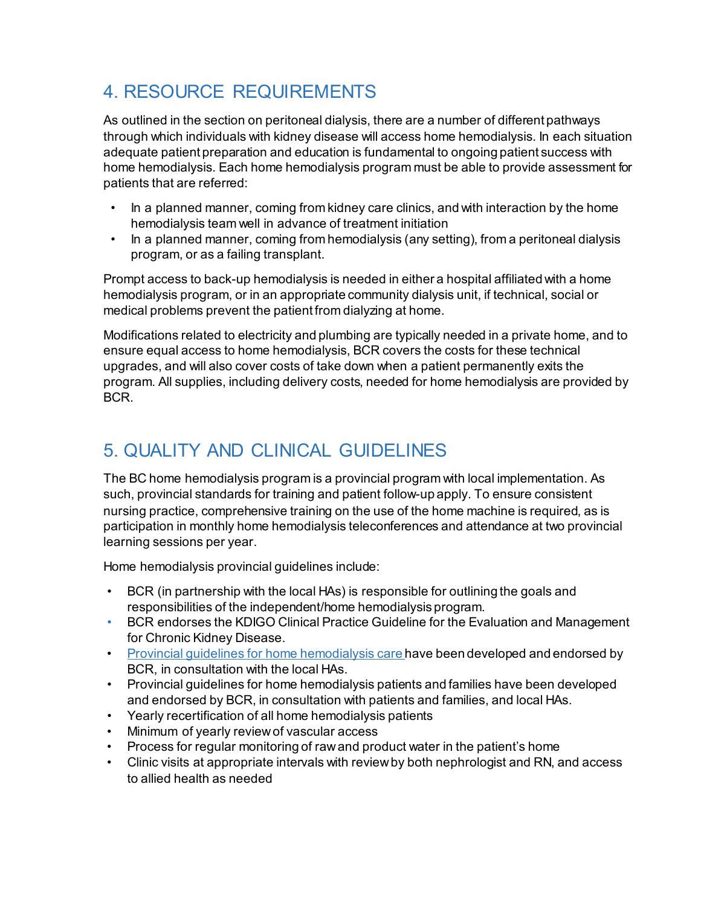### 4. RESOURCE REQUIREMENTS

As outlined in the section on peritoneal dialysis, there are a number of different pathways through which individuals with kidney disease will access home hemodialysis. In each situation adequate patient preparation and education is fundamental to ongoing patient success with home hemodialysis. Each home hemodialysis program must be able to provide assessment for patients that are referred:

- In a planned manner, coming from kidney care clinics, and with interaction by the home hemodialysis team well in advance of treatment initiation
- In a planned manner, coming from hemodialysis (any setting), from a peritoneal dialysis program, or as a failing transplant.

Prompt access to back-up hemodialysis is needed in either a hospital affiliated with a home hemodialysis program, or in an appropriate community dialysis unit, if technical, social or medical problems prevent the patient from dialyzing at home.

Modifications related to electricity and plumbing are typically needed in a private home, and to ensure equal access to home hemodialysis, BCR covers the costs for these technical upgrades, and will also cover costs of take down when a patient permanently exits the program. All supplies, including delivery costs, needed for home hemodialysis are provided by BCR.

### 5. QUALITY AND CLINICAL GUIDELINES

The BC home hemodialysis program is a provincial program with local implementation. As such, provincial standards for training and patient follow-up apply. To ensure consistent nursing practice, comprehensive training on the use of the home machine is required, as is participation in monthly home hemodialysis teleconferences and attendance at two provincial learning sessions per year.

Home hemodialysis provincial guidelines include:

- BCR (in partnership with the local HAs) is responsible for outlining the goals and responsibilities of the independent/home hemodialysis program.
- BCR endorses the KDIGO Clinical Practice Guideline for the Evaluation and Management for Chronic Kidney Disease.
- Provincial quidelines for home hemodialysis care have been developed and endorsed by BCR, in consultation with the local HAs.
- Provincial guidelines for home hemodialysis patients and families have been developed and endorsed by BCR, in consultation with patients and families, and local HAs.
- Yearly recertification of all home hemodialysis patients
- Minimum of yearly review of vascular access
- Process for regular monitoring of raw and product water in the patient's home
- Clinic visits at appropriate intervals with review by both nephrologist and RN, and access to allied health as needed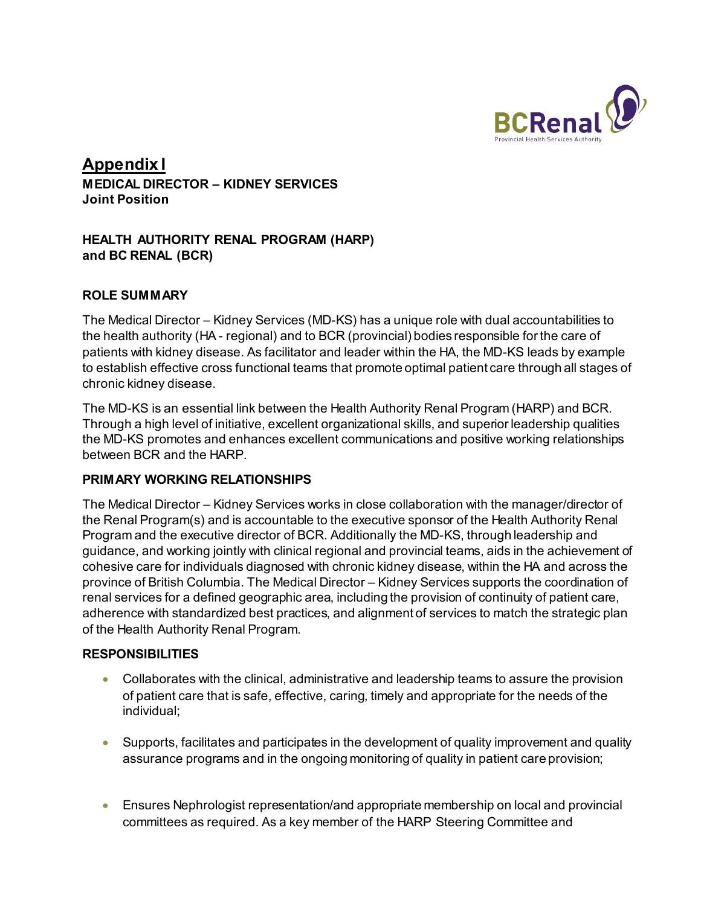

#### **Appendix I MEDICAL DIRECTOR – KIDNEY SERVICES Joint Position**

#### **HEALTH AUTHORITY RENAL PROGRAM (HARP) and BC RENAL (BCR)**

#### **ROLE SUMMARY**

The Medical Director – Kidney Services (MD-KS) has a unique role with dual accountabilities to the health authority (HA - regional) and to BCR (provincial) bodies responsible for the care of patients with kidney disease. As facilitator and leader within the HA, the MD-KS leads by example to establish effective cross functional teams that promote optimal patient care through all stages of chronic kidney disease.

The MD-KS is an essential link between the Health Authority Renal Program (HARP) and BCR. Through a high level of initiative, excellent organizational skills, and superior leadership qualities the MD-KS promotes and enhances excellent communications and positive working relationships between BCR and the HARP.

#### **PRIMARY WORKING RELATIONSHIPS**

The Medical Director – Kidney Services works in close collaboration with the manager/director of the Renal Program(s) and is accountable to the executive sponsor of the Health Authority Renal Program and the executive director of BCR. Additionally the MD-KS, through leadership and guidance, and working jointly with clinical regional and provincial teams, aids in the achievement of cohesive care for individuals diagnosed with chronic kidney disease, within the HA and across the province of British Columbia. The Medical Director – Kidney Services supports the coordination of renal services for a defined geographic area, including the provision of continuity of patient care, adherence with standardized best practices, and alignment of services to match the strategic plan of the Health Authority Renal Program.

#### **RESPONSIBILITIES**

- Collaborates with the clinical, administrative and leadership teams to assure the provision of patient care that is safe, effective, caring, timely and appropriate for the needs of the individual;
- Supports, facilitates and participates in the development of quality improvement and quality assurance programs and in the ongoing monitoring of quality in patient care provision;
- Ensures Nephrologist representation/and appropriate membership on local and provincial committees as required. As a key member of the HARP Steering Committee and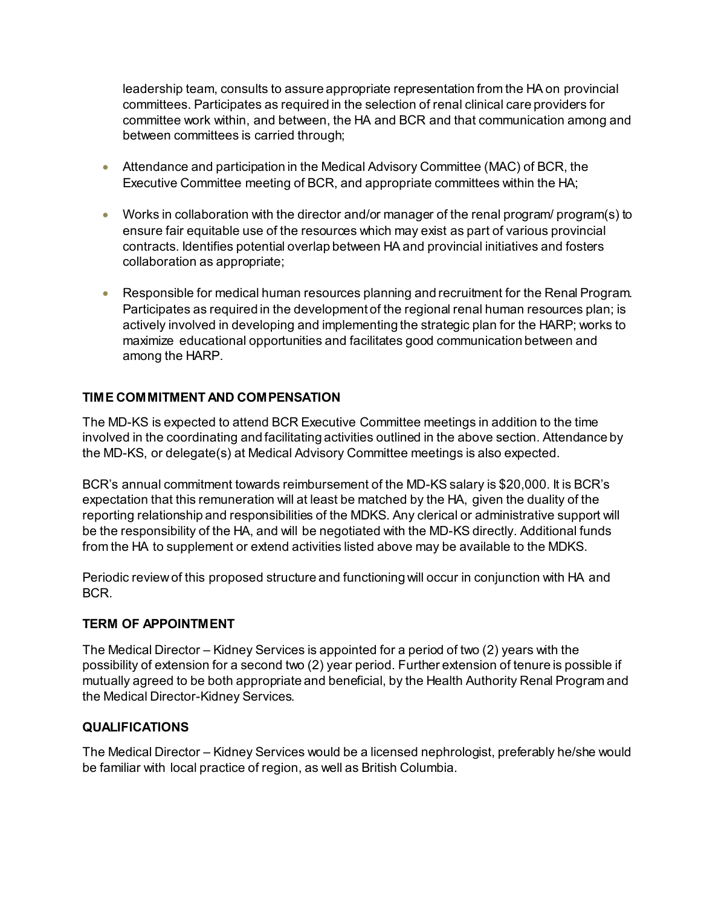leadership team, consults to assure appropriate representation from the HA on provincial committees. Participates as required in the selection of renal clinical care providers for committee work within, and between, the HA and BCR and that communication among and between committees is carried through;

- Attendance and participation in the Medical Advisory Committee (MAC) of BCR, the Executive Committee meeting of BCR, and appropriate committees within the HA;
- Works in collaboration with the director and/or manager of the renal program/ program(s) to ensure fair equitable use of the resources which may exist as part of various provincial contracts. Identifies potential overlap between HA and provincial initiatives and fosters collaboration as appropriate;
- Responsible for medical human resources planning and recruitment for the Renal Program. Participates as required in the development of the regional renal human resources plan; is actively involved in developing and implementing the strategic plan for the HARP; works to maximize educational opportunities and facilitates good communication between and among the HARP.

#### **TIME COMMITMENT AND COMPENSATION**

The MD-KS is expected to attend BCR Executive Committee meetings in addition to the time involved in the coordinating and facilitating activities outlined in the above section. Attendance by the MD-KS, or delegate(s) at Medical Advisory Committee meetings is also expected.

BCR's annual commitment towards reimbursement of the MD-KS salary is \$20,000. It is BCR's expectation that this remuneration will at least be matched by the HA, given the duality of the reporting relationship and responsibilities of the MDKS. Any clerical or administrative support will be the responsibility of the HA, and will be negotiated with the MD-KS directly. Additional funds from the HA to supplement or extend activities listed above may be available to the MDKS.

Periodic review of this proposed structure and functioning will occur in conjunction with HA and BCR.

#### **TERM OF APPOINTMENT**

The Medical Director – Kidney Services is appointed for a period of two (2) years with the possibility of extension for a second two (2) year period. Further extension of tenure is possible if mutually agreed to be both appropriate and beneficial, by the Health Authority Renal Program and the Medical Director-Kidney Services.

#### **QUALIFICATIONS**

The Medical Director – Kidney Services would be a licensed nephrologist, preferably he/she would be familiar with local practice of region, as well as British Columbia.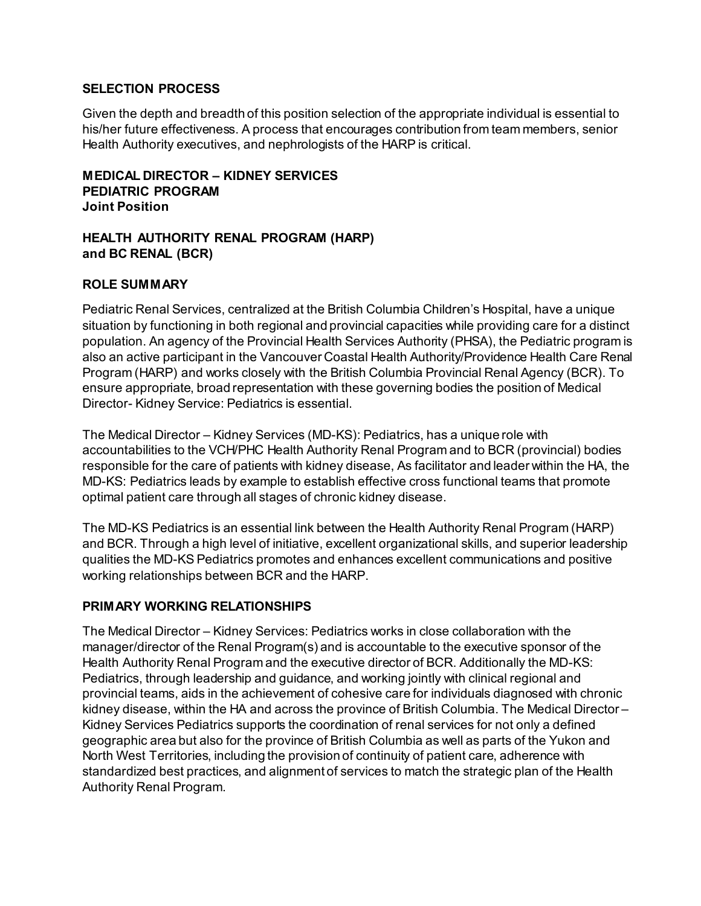#### **SELECTION PROCESS**

Given the depth and breadth of this position selection of the appropriate individual is essential to his/her future effectiveness. A process that encourages contribution from team members, senior Health Authority executives, and nephrologists of the HARP is critical.

**MEDICAL DIRECTOR – KIDNEY SERVICES PEDIATRIC PROGRAM Joint Position**

#### **HEALTH AUTHORITY RENAL PROGRAM (HARP) and BC RENAL (BCR)**

#### **ROLE SUMMARY**

Pediatric Renal Services, centralized at the British Columbia Children's Hospital, have a unique situation by functioning in both regional and provincial capacities while providing care for a distinct population. An agency of the Provincial Health Services Authority (PHSA), the Pediatric program is also an active participant in the Vancouver Coastal Health Authority/Providence Health Care Renal Program (HARP) and works closely with the British Columbia Provincial Renal Agency (BCR). To ensure appropriate, broad representation with these governing bodies the position of Medical Director- Kidney Service: Pediatrics is essential.

The Medical Director – Kidney Services (MD-KS): Pediatrics, has a unique role with accountabilities to the VCH/PHC Health Authority Renal Program and to BCR (provincial) bodies responsible for the care of patients with kidney disease, As facilitator and leader within the HA, the MD-KS: Pediatrics leads by example to establish effective cross functional teams that promote optimal patient care through all stages of chronic kidney disease.

The MD-KS Pediatrics is an essential link between the Health Authority Renal Program (HARP) and BCR. Through a high level of initiative, excellent organizational skills, and superior leadership qualities the MD-KS Pediatrics promotes and enhances excellent communications and positive working relationships between BCR and the HARP.

#### **PRIMARY WORKING RELATIONSHIPS**

The Medical Director – Kidney Services: Pediatrics works in close collaboration with the manager/director of the Renal Program(s) and is accountable to the executive sponsor of the Health Authority Renal Program and the executive director of BCR. Additionally the MD-KS: Pediatrics, through leadership and guidance, and working jointly with clinical regional and provincial teams, aids in the achievement of cohesive care for individuals diagnosed with chronic kidney disease, within the HA and across the province of British Columbia. The Medical Director – Kidney Services Pediatrics supports the coordination of renal services for not only a defined geographic area but also for the province of British Columbia as well as parts of the Yukon and North West Territories, including the provision of continuity of patient care, adherence with standardized best practices, and alignment of services to match the strategic plan of the Health Authority Renal Program.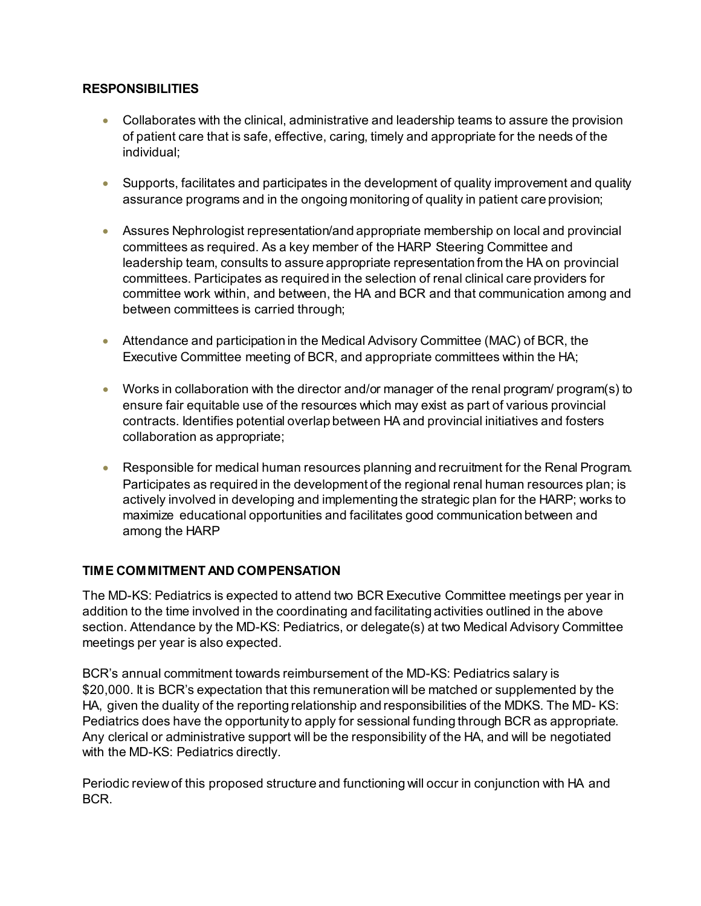#### **RESPONSIBILITIES**

- Collaborates with the clinical, administrative and leadership teams to assure the provision of patient care that is safe, effective, caring, timely and appropriate for the needs of the individual;
- Supports, facilitates and participates in the development of quality improvement and quality assurance programs and in the ongoing monitoring of quality in patient care provision;
- Assures Nephrologist representation/and appropriate membership on local and provincial committees as required. As a key member of the HARP Steering Committee and leadership team, consults to assure appropriate representation from the HA on provincial committees. Participates as required in the selection of renal clinical care providers for committee work within, and between, the HA and BCR and that communication among and between committees is carried through;
- Attendance and participation in the Medical Advisory Committee (MAC) of BCR, the Executive Committee meeting of BCR, and appropriate committees within the HA;
- Works in collaboration with the director and/or manager of the renal program/ program(s) to ensure fair equitable use of the resources which may exist as part of various provincial contracts. Identifies potential overlap between HA and provincial initiatives and fosters collaboration as appropriate;
- Responsible for medical human resources planning and recruitment for the Renal Program. Participates as required in the development of the regional renal human resources plan; is actively involved in developing and implementing the strategic plan for the HARP; works to maximize educational opportunities and facilitates good communication between and among the HARP

#### **TIME COMMITMENT AND COMPENSATION**

The MD-KS: Pediatrics is expected to attend two BCR Executive Committee meetings per year in addition to the time involved in the coordinating and facilitating activities outlined in the above section. Attendance by the MD-KS: Pediatrics, or delegate(s) at two Medical Advisory Committee meetings per year is also expected.

BCR's annual commitment towards reimbursement of the MD-KS: Pediatrics salary is \$20,000. It is BCR's expectation that this remuneration will be matched or supplemented by the HA, given the duality of the reporting relationship and responsibilities of the MDKS. The MD- KS: Pediatrics does have the opportunity to apply for sessional funding through BCR as appropriate. Any clerical or administrative support will be the responsibility of the HA, and will be negotiated with the MD-KS: Pediatrics directly.

Periodic review of this proposed structure and functioning will occur in conjunction with HA and BCR.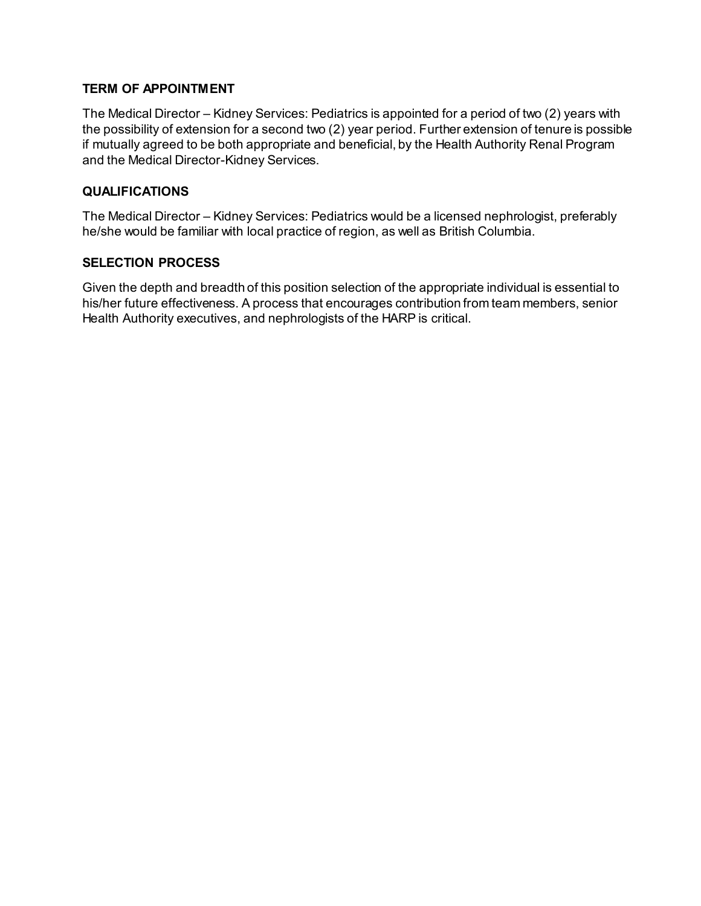#### **TERM OF APPOINTMENT**

The Medical Director – Kidney Services: Pediatrics is appointed for a period of two (2) years with the possibility of extension for a second two (2) year period. Further extension of tenure is possible if mutually agreed to be both appropriate and beneficial, by the Health Authority Renal Program and the Medical Director-Kidney Services.

#### **QUALIFICATIONS**

The Medical Director – Kidney Services: Pediatrics would be a licensed nephrologist, preferably he/she would be familiar with local practice of region, as well as British Columbia.

#### **SELECTION PROCESS**

Given the depth and breadth of this position selection of the appropriate individual is essential to his/her future effectiveness. A process that encourages contribution from team members, senior Health Authority executives, and nephrologists of the HARP is critical.